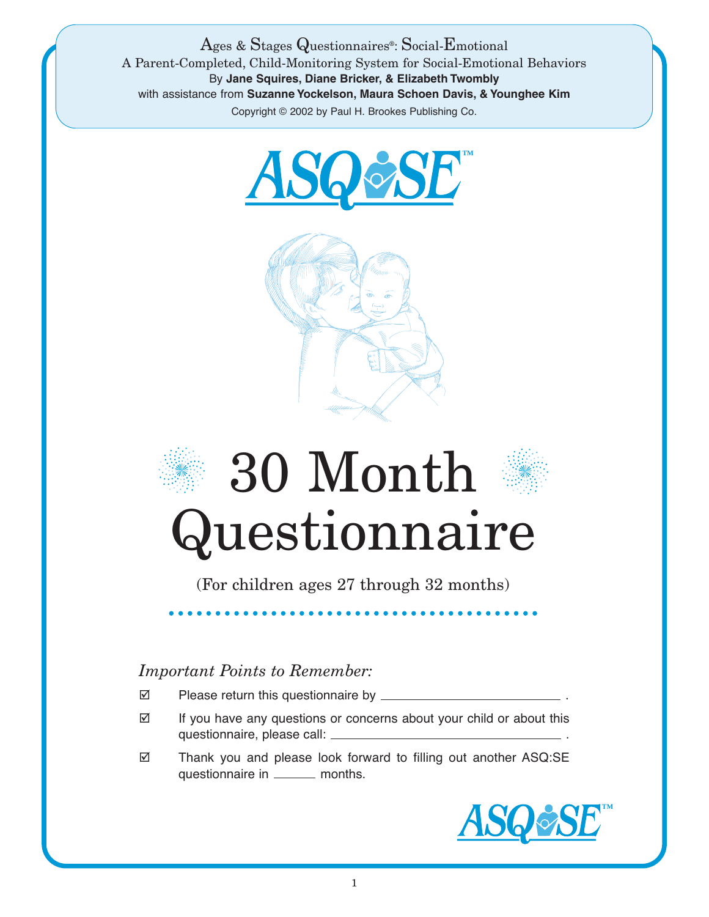Ages & Stages Questionnaires®: Social-Emotional A Parent-Completed, Child-Monitoring System for Social-Emotional Behaviors By **Jane Squires, Diane Bricker, & Elizabeth Twombly** with assistance from **Suzanne Yockelson, Maura Schoen Davis, & Younghee Kim** Copyright © 2002 by Paul H. Brookes Publishing Co.





## 30 Month Questionnaire

(For children ages 27 through 32 months)

## *Important Points to Remember:*

- Please return this questionnaire by \_\_\_\_\_\_\_\_\_\_
- $\boxtimes$  If you have any questions or concerns about your child or about this questionnaire, please call: .
- Thank you and please look forward to filling out another ASQ:SE questionnaire in \_\_\_\_\_\_ months.

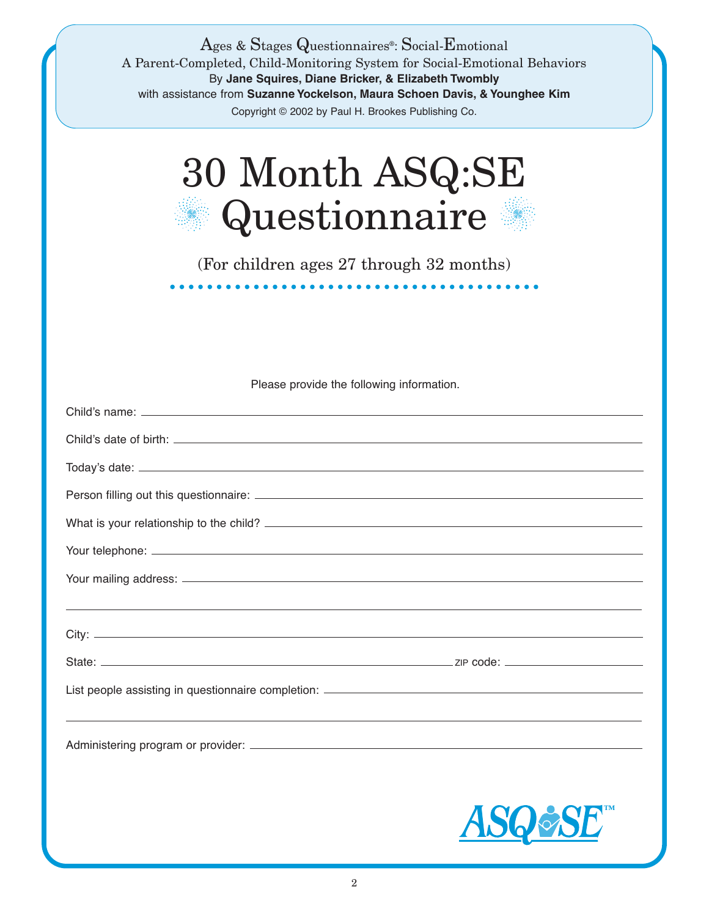| Ages & Stages Questionnaires <sup>®</sup> : Social-Emotional<br>A Parent-Completed, Child-Monitoring System for Social-Emotional Behaviors<br>By Jane Squires, Diane Bricker, & Elizabeth Twombly<br>with assistance from Suzanne Yockelson, Maura Schoen Davis, & Younghee Kim<br>Copyright © 2002 by Paul H. Brookes Publishing Co. |    |
|---------------------------------------------------------------------------------------------------------------------------------------------------------------------------------------------------------------------------------------------------------------------------------------------------------------------------------------|----|
| 30 Month ASQ:SE<br>Questionnaire                                                                                                                                                                                                                                                                                                      |    |
| (For children ages 27 through 32 months)                                                                                                                                                                                                                                                                                              |    |
|                                                                                                                                                                                                                                                                                                                                       |    |
|                                                                                                                                                                                                                                                                                                                                       |    |
| Please provide the following information.                                                                                                                                                                                                                                                                                             |    |
|                                                                                                                                                                                                                                                                                                                                       |    |
|                                                                                                                                                                                                                                                                                                                                       |    |
|                                                                                                                                                                                                                                                                                                                                       |    |
|                                                                                                                                                                                                                                                                                                                                       |    |
|                                                                                                                                                                                                                                                                                                                                       |    |
|                                                                                                                                                                                                                                                                                                                                       |    |
|                                                                                                                                                                                                                                                                                                                                       |    |
|                                                                                                                                                                                                                                                                                                                                       |    |
|                                                                                                                                                                                                                                                                                                                                       |    |
|                                                                                                                                                                                                                                                                                                                                       |    |
|                                                                                                                                                                                                                                                                                                                                       |    |
|                                                                                                                                                                                                                                                                                                                                       | AS |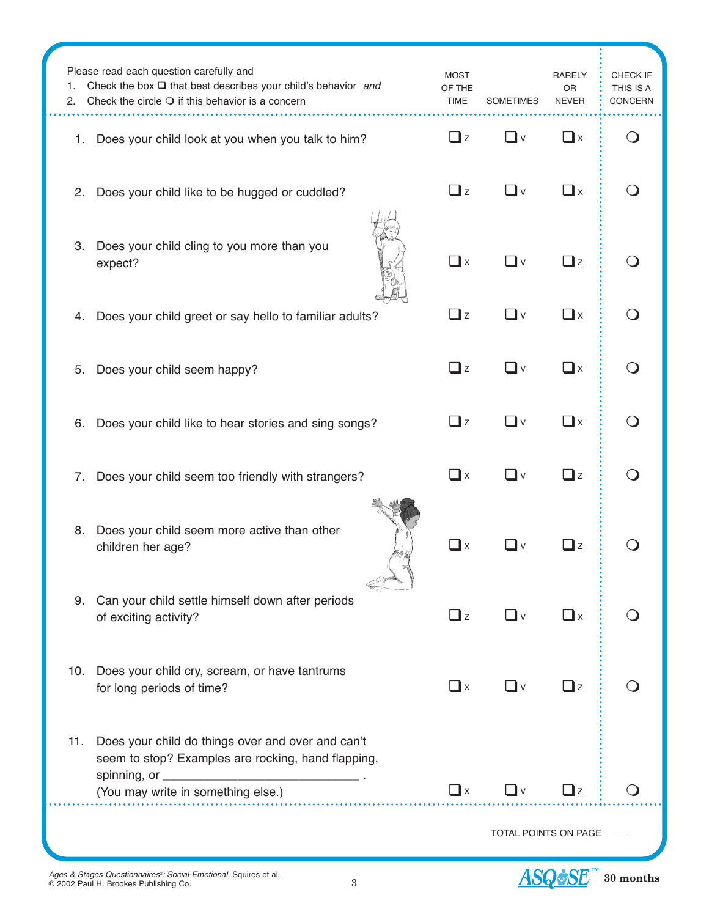| 1.<br>2.                                                   | Please read each question carefully and<br>Check the box $\square$ that best describes your child's behavior and<br>Check the circle $\bigcirc$ if this behavior is a concern | <b>MOST</b><br>OF THE<br><b>TIME</b>         | <b>SOMETIMES</b>  | <b>RARELY</b><br>OR<br><b>NEVER</b> | CHECK IF<br>THIS IS A<br>CONCERN |
|------------------------------------------------------------|-------------------------------------------------------------------------------------------------------------------------------------------------------------------------------|----------------------------------------------|-------------------|-------------------------------------|----------------------------------|
| 1.                                                         | Does your child look at you when you talk to him?                                                                                                                             | $\Box$ z                                     | _l ∨              | $\Box$ x                            |                                  |
| 2.                                                         | Does your child like to be hugged or cuddled?                                                                                                                                 | $\Box$ z                                     | _l v              | $\square$ x                         |                                  |
| 3.                                                         | Does your child cling to you more than you<br>expect?                                                                                                                         | $\Box$ x                                     | _∎ ∨              | $\Box$ z                            |                                  |
| 4.                                                         | Does your child greet or say hello to familiar adults?                                                                                                                        | $\Box$ z                                     | _l ∨              | $\square$ x                         |                                  |
| 5.                                                         | Does your child seem happy?                                                                                                                                                   | $\Box$ z                                     | $\Box$ v          | $\square$ x                         |                                  |
| 6.                                                         | Does your child like to hear stories and sing songs?                                                                                                                          | $\Box$ z                                     | $\mathsf{l} \vee$ | $\Box$ x                            |                                  |
| 7.                                                         | Does your child seem too friendly with strangers?                                                                                                                             | $\square$ x                                  | _l v              | $\Box$ z                            |                                  |
| 8.                                                         | Does your child seem more active than other<br>children her age?                                                                                                              | $\mathbf{\mathbf{\mathsf{\underline{u}}}}$ x |                   | _l z                                |                                  |
|                                                            | 9. Can your child settle himself down after periods<br>of exciting activity?                                                                                                  | $\Box$ z                                     | ∟v                | $\Box$ x                            |                                  |
| 10.                                                        | Does your child cry, scream, or have tantrums<br>for long periods of time?                                                                                                    | $\Box$ x                                     | ∟v                | $\Box$ z                            |                                  |
| 11.                                                        | Does your child do things over and over and can't<br>seem to stop? Examples are rocking, hand flapping,                                                                       | $\Box$ x                                     | —l ∨              | $\Box$ z                            |                                  |
| (You may write in something else.)<br>TOTAL POINTS ON PAGE |                                                                                                                                                                               |                                              |                   |                                     |                                  |



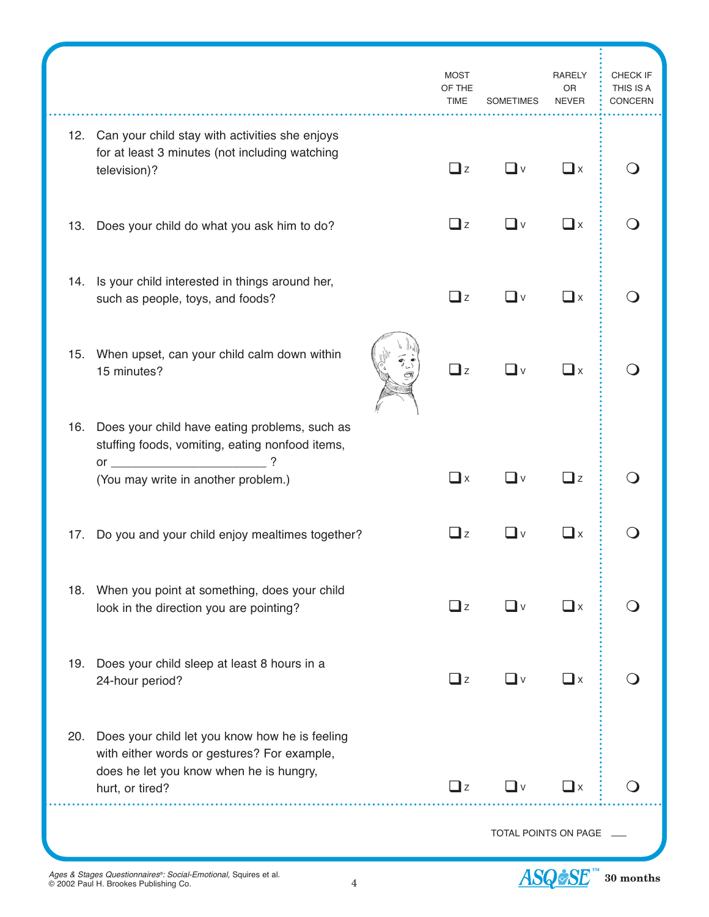|     |                                                                                                                                                             |  | <b>MOST</b><br>OF THE<br><b>TIME</b> | <b>SOMETIMES</b>  | <b>RARELY</b><br>OR<br><b>NEVER</b> | CHECK IF<br>THIS IS A<br>CONCERN |
|-----|-------------------------------------------------------------------------------------------------------------------------------------------------------------|--|--------------------------------------|-------------------|-------------------------------------|----------------------------------|
|     | 12. Can your child stay with activities she enjoys<br>for at least 3 minutes (not including watching<br>television)?                                        |  | $\Box$ z                             | _l v              | $\Box$ x                            |                                  |
| 13. | Does your child do what you ask him to do?                                                                                                                  |  | $\Box$ z                             | $\mathsf{l} \vee$ | $\square$ x                         |                                  |
|     | 14. Is your child interested in things around her,<br>such as people, toys, and foods?                                                                      |  | $\Box$ z                             | $\vee$            | $\Box$ x                            |                                  |
| 15. | When upset, can your child calm down within<br>15 minutes?                                                                                                  |  | $\Box$ z                             | $\vee$            | $\mathbf{I}$ x                      |                                  |
|     | 16. Does your child have eating problems, such as<br>stuffing foods, vomiting, eating nonfood items,                                                        |  | $\mathbf{\mathbb{I}}$ x              |                   | $\Box$ z                            |                                  |
|     | (You may write in another problem.)                                                                                                                         |  |                                      | $\vee$            |                                     |                                  |
| 17. | Do you and your child enjoy mealtimes together?                                                                                                             |  | $\Box$ z                             | $\vee$            | $\mathbf{I}$ x                      |                                  |
| 18. | When you point at something, does your child<br>look in the direction you are pointing?                                                                     |  | $\Box$ z                             | _l ∨              | $\square$ x                         |                                  |
| 19. | Does your child sleep at least 8 hours in a<br>24-hour period?                                                                                              |  | $\Box$ z                             | —l ∨              | $\Box$ x                            |                                  |
| 20. | Does your child let you know how he is feeling<br>with either words or gestures? For example,<br>does he let you know when he is hungry,<br>hurt, or tired? |  | $\mathbf{I}$ z                       |                   | ⊿ x                                 |                                  |
|     | TOTAL POINTS ON PAGE                                                                                                                                        |  |                                      |                   |                                     |                                  |

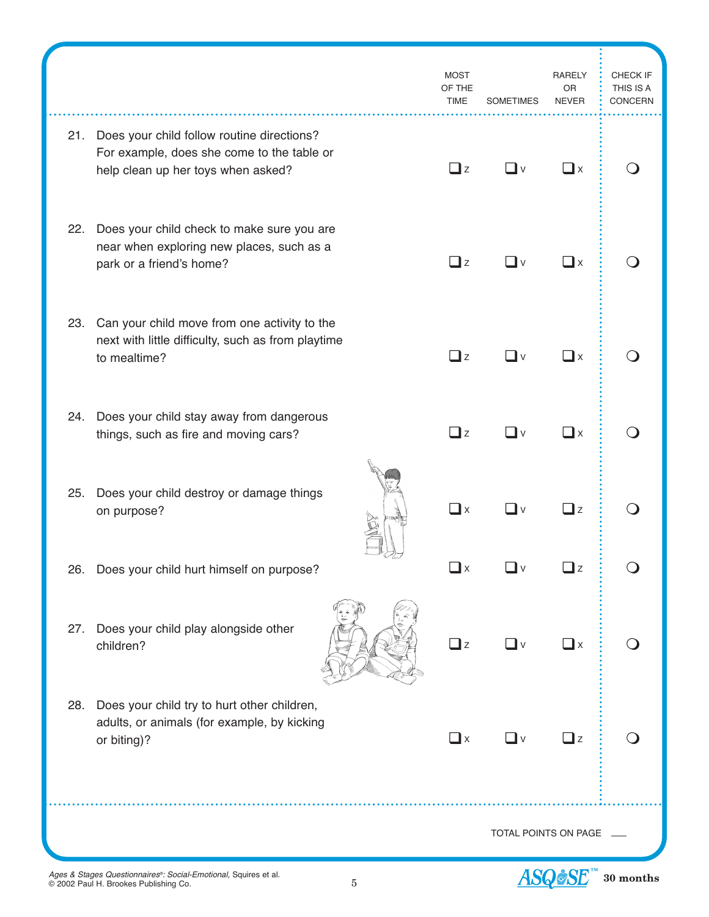|                      |                                                                                                                                    | <b>MOST</b><br>OF THE<br><b>TIME</b> | <b>SOMETIMES</b>  | <b>RARELY</b><br><b>OR</b><br><b>NEVER</b> | CHECK IF<br>THIS IS A<br><b>CONCERN</b> |
|----------------------|------------------------------------------------------------------------------------------------------------------------------------|--------------------------------------|-------------------|--------------------------------------------|-----------------------------------------|
|                      | 21. Does your child follow routine directions?<br>For example, does she come to the table or<br>help clean up her toys when asked? | $\Box$ z                             | —l ∨              | $\square$ x                                |                                         |
| 22.                  | Does your child check to make sure you are<br>near when exploring new places, such as a<br>park or a friend's home?                | $\Box$ z                             | ∟l v              | $\Box$ x                                   |                                         |
|                      | 23. Can your child move from one activity to the<br>next with little difficulty, such as from playtime<br>to mealtime?             | $\Box$ z                             | _l ∨              | $\square$ x                                |                                         |
|                      | 24. Does your child stay away from dangerous<br>things, such as fire and moving cars?                                              | $\square$ z                          | –l v              | $\square$ x                                |                                         |
| 25.                  | Does your child destroy or damage things<br>on purpose?                                                                            | $\square$ x                          | $\mathsf{I} \vee$ | $\mathbf{z}$                               |                                         |
|                      | 26. Does your child hurt himself on purpose?                                                                                       | $\mathbf{\mathbb{I}}$ x              | $\vee$            | $\mathbf{I}$ z                             |                                         |
| 27.                  | Does your child play alongside other<br>children?                                                                                  | $\Box$ z                             | $\Box$ v          | $\square$ x                                |                                         |
| 28.                  | Does your child try to hurt other children,<br>adults, or animals (for example, by kicking<br>or biting)?                          | $\Box$ x                             | ┚╹                | $\Box$ z                                   |                                         |
| TOTAL POINTS ON PAGE |                                                                                                                                    |                                      |                   |                                            |                                         |
|                      |                                                                                                                                    |                                      |                   |                                            |                                         |